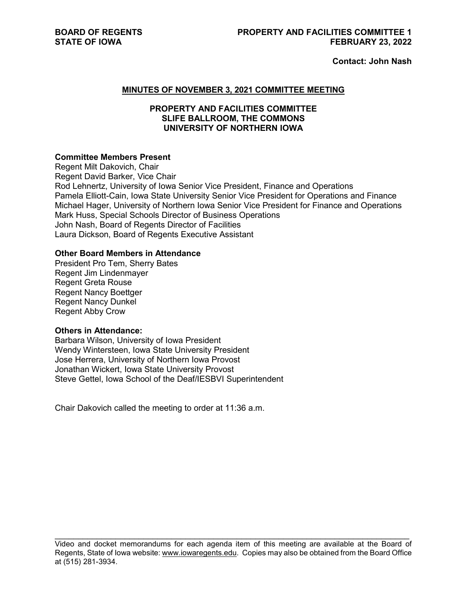**Contact: John Nash** 

#### **MINUTES OF NOVEMBER 3, 2021 COMMITTEE MEETING**

# **PROPERTY AND FACILITIES COMMITTEE SLIFE BALLROOM, THE COMMONS UNIVERSITY OF NORTHERN IOWA**

# **Committee Members Present**

Regent Milt Dakovich, Chair Regent David Barker, Vice Chair Rod Lehnertz, University of Iowa Senior Vice President, Finance and Operations Pamela Elliott-Cain, Iowa State University Senior Vice President for Operations and Finance Michael Hager, University of Northern Iowa Senior Vice President for Finance and Operations Mark Huss, Special Schools Director of Business Operations John Nash, Board of Regents Director of Facilities Laura Dickson, Board of Regents Executive Assistant

# **Other Board Members in Attendance**

President Pro Tem, Sherry Bates Regent Jim Lindenmayer Regent Greta Rouse Regent Nancy Boettger Regent Nancy Dunkel Regent Abby Crow

#### **Others in Attendance:**

Barbara Wilson, University of Iowa President Wendy Wintersteen, Iowa State University President Jose Herrera, University of Northern Iowa Provost Jonathan Wickert, Iowa State University Provost Steve Gettel, Iowa School of the Deaf/IESBVI Superintendent

Chair Dakovich called the meeting to order at 11:36 a.m.

 $\mathcal{L}_\text{max}$  , and the contribution of the contribution of the contribution of the contribution of the contribution of the contribution of the contribution of the contribution of the contribution of the contribution of t Video and docket memorandums for each agenda item of this meeting are available at the Board of Regents, State of Iowa website[: www.iowaregents.edu.](http://www.iowaregents.edu/) Copies may also be obtained from the Board Office at (515) 281-3934.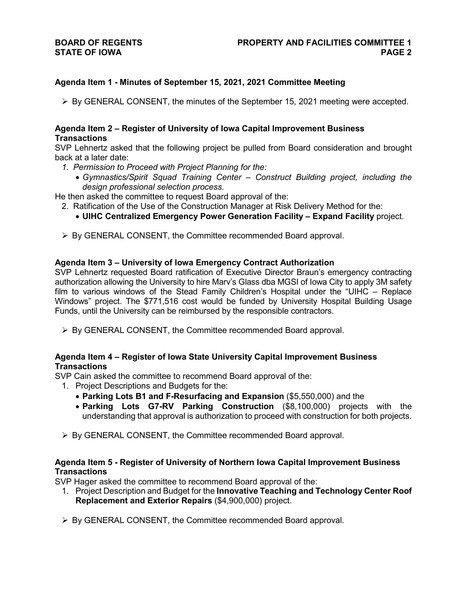# **BOARD OF REGENTS STATE OF IOWA**

# **Agenda Item 1 - Minutes of September 15, 2021, 2021 Committee Meeting**

 $\triangleright$  By GENERAL CONSENT, the minutes of the September 15, 2021 meeting were accepted.

# **Agenda Item 2 – Register of University of Iowa Capital Improvement Business Transactions**

SVP Lehnertz asked that the following project be pulled from Board consideration and brought back at a later date:

- *1. Permission to Proceed with Project Planning for the:*
	- *Gymnastics/Spirit Squad Training Center – Construct Building project, including the design professional selection process.*

He then asked the committee to request Board approval of the:

- 2. Ratification of the Use of the Construction Manager at Risk Delivery Method for the:
	- **UIHC Centralized Emergency Power Generation Facility – Expand Facility** project.
- ▶ By GENERAL CONSENT, the Committee recommended Board approval.

# **Agenda Item 3 – University of Iowa Emergency Contract Authorization**

SVP Lehnertz requested Board ratification of Executive Director Braun's emergency contracting authorization allowing the University to hire Marv's Glass dba MGSI of Iowa City to apply 3M safety film to various windows of the Stead Family Children's Hospital under the "UIHC – Replace Windows" project. The \$771,516 cost would be funded by University Hospital Building Usage Funds, until the University can be reimbursed by the responsible contractors.

 $\triangleright$  By GENERAL CONSENT, the Committee recommended Board approval.

# **Agenda Item 4 – Register of Iowa State University Capital Improvement Business Transactions**

SVP Cain asked the committee to recommend Board approval of the:

- 1. Project Descriptions and Budgets for the:
	- **Parking Lots B1 and F-Resurfacing and Expansion** (\$5,550,000) and the
	- **Parking Lots G7-RV Parking Construction** (\$8,100,000) projects with the understanding that approval is authorization to proceed with construction for both projects.
- $\triangleright$  By GENERAL CONSENT, the Committee recommended Board approval.

# **Agenda Item 5 - Register of University of Northern Iowa Capital Improvement Business Transactions**

SVP Hager asked the committee to recommend Board approval of the:

- 1. Project Description and Budget for the **Innovative Teaching and Technology Center Roof Replacement and Exterior Repairs** (\$4,900,000) project.
- $\triangleright$  By GENERAL CONSENT, the Committee recommended Board approval.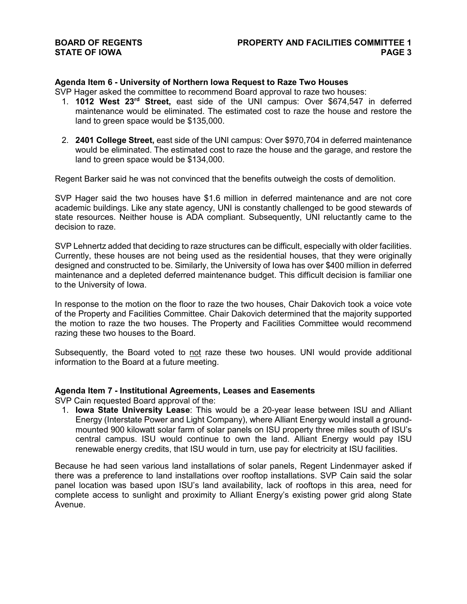# **Agenda Item 6 - University of Northern Iowa Request to Raze Two Houses**

SVP Hager asked the committee to recommend Board approval to raze two houses:

- 1. **1012 West 23rd Street,** east side of the UNI campus: Over \$674,547 in deferred maintenance would be eliminated. The estimated cost to raze the house and restore the land to green space would be \$135,000.
- 2. **2401 College Street,** east side of the UNI campus: Over \$970,704 in deferred maintenance would be eliminated. The estimated cost to raze the house and the garage, and restore the land to green space would be \$134,000.

Regent Barker said he was not convinced that the benefits outweigh the costs of demolition.

SVP Hager said the two houses have \$1.6 million in deferred maintenance and are not core academic buildings. Like any state agency, UNI is constantly challenged to be good stewards of state resources. Neither house is ADA compliant. Subsequently, UNI reluctantly came to the decision to raze.

SVP Lehnertz added that deciding to raze structures can be difficult, especially with older facilities. Currently, these houses are not being used as the residential houses, that they were originally designed and constructed to be. Similarly, the University of Iowa has over \$400 million in deferred maintenance and a depleted deferred maintenance budget. This difficult decision is familiar one to the University of Iowa.

In response to the motion on the floor to raze the two houses, Chair Dakovich took a voice vote of the Property and Facilities Committee. Chair Dakovich determined that the majority supported the motion to raze the two houses. The Property and Facilities Committee would recommend razing these two houses to the Board.

Subsequently, the Board voted to not raze these two houses. UNI would provide additional information to the Board at a future meeting.

# **Agenda Item 7 - Institutional Agreements, Leases and Easements**

SVP Cain requested Board approval of the:

1. **Iowa State University Lease**: This would be a 20-year lease between ISU and Alliant Energy (Interstate Power and Light Company), where Alliant Energy would install a groundmounted 900 kilowatt solar farm of solar panels on ISU property three miles south of ISU's central campus. ISU would continue to own the land. Alliant Energy would pay ISU renewable energy credits, that ISU would in turn, use pay for electricity at ISU facilities.

Because he had seen various land installations of solar panels, Regent Lindenmayer asked if there was a preference to land installations over rooftop installations. SVP Cain said the solar panel location was based upon ISU's land availability, lack of rooftops in this area, need for complete access to sunlight and proximity to Alliant Energy's existing power grid along State Avenue.